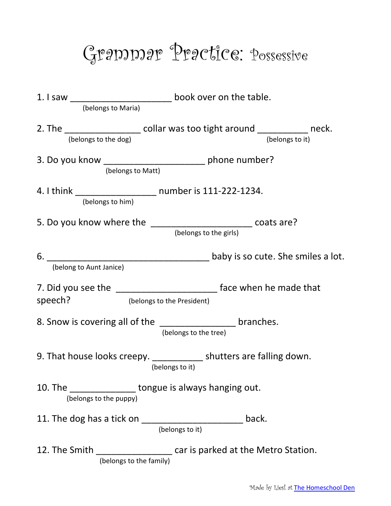## Grammar Practice: Possessive

|                                                                                                                  | 1. I saw ________________________________ book over on the table.                      |                 |
|------------------------------------------------------------------------------------------------------------------|----------------------------------------------------------------------------------------|-----------------|
| (belongs to Maria)                                                                                               |                                                                                        |                 |
| (belongs to the dog)                                                                                             | 2. The _____________________ collar was too tight around _____________ neck.           | (belongs to it) |
| (belongs to Matt)                                                                                                | 3. Do you know _________________________ phone number?                                 |                 |
| (belongs to him)                                                                                                 | 4. I think _______________________ number is 111-222-1234.                             |                 |
| 5. Do you know where the ________________________ coats are?<br>(belongs to the girls)                           |                                                                                        |                 |
| (belong to Aunt Janice)                                                                                          |                                                                                        |                 |
| 7. Did you see the _____________________________ face when he made that<br>(belongs to the President)<br>speech? |                                                                                        |                 |
|                                                                                                                  | 8. Snow is covering all of the ___________________ branches.<br>(belongs to the tree)  |                 |
|                                                                                                                  | 9. That house looks creepy. ____________ shutters are falling down.<br>(belongs to it) |                 |
| 10. The<br>(belongs to the puppy)                                                                                | tongue is always hanging out.                                                          |                 |
| 11. The dog has a tick on                                                                                        | back.<br>(belongs to it)                                                               |                 |
| 12. The Smith<br>car is parked at the Metro Station.<br>(belongs to the family)                                  |                                                                                        |                 |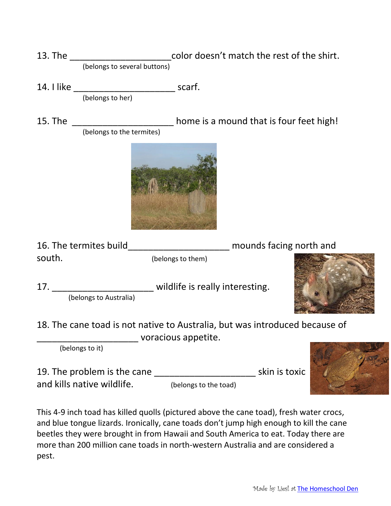- 13. The \_\_\_\_\_\_\_\_\_\_\_\_\_\_\_\_\_\_\_\_\_\_\_\_\_\_color doesn't match the rest of the shirt. (belongs to several buttons)
- 14. I like \_\_\_\_\_\_\_\_\_\_\_\_\_\_\_\_\_\_\_\_ scarf. (belongs to her)
- 15. The \_\_\_\_\_\_\_\_\_\_\_\_\_\_\_\_\_\_\_\_\_\_ home is a mound that is four feet high! (belongs to the termites)



16. The termites build\_\_\_\_\_\_\_\_\_\_\_\_\_\_\_\_\_\_\_\_ mounds facing north and south. (belongs to them)

17. \_\_\_\_\_\_\_\_\_\_\_\_\_\_\_\_\_\_\_\_\_\_\_\_ wildlife is really interesting. (belongs to Australia)



18. The cane toad is not native to Australia, but was introduced because of \_\_\_\_\_\_\_\_\_\_\_\_\_\_\_\_\_\_\_\_ voracious appetite.

(belongs to it)

19. The problem is the cane \_\_\_\_\_\_\_\_\_\_\_\_\_\_\_\_\_\_\_\_ skin is toxic and kills native wildlife. (belongs to the toad)

This 4-9 inch toad has killed quolls (pictured above the cane toad), fresh water crocs, and blue tongue lizards. Ironically, cane toads don't jump high enough to kill the cane beetles they were brought in from Hawaii and South America to eat. Today there are more than 200 million cane toads in north-western Australia and are considered a pest.